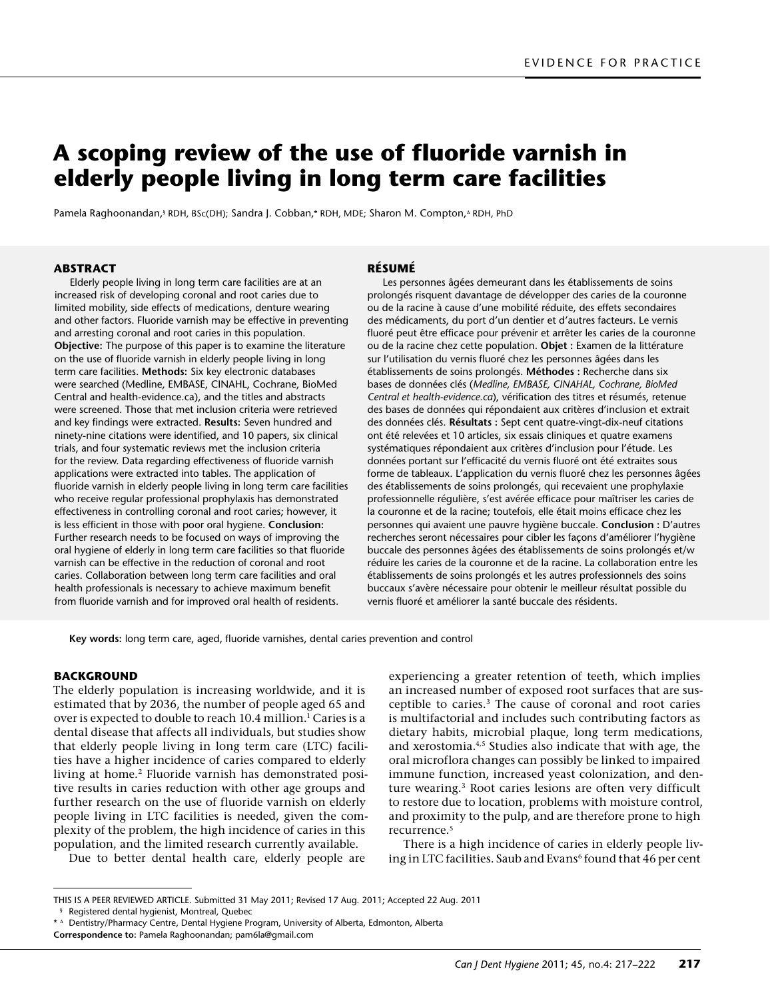# **A scoping review of the use of fluoride varnish in elderly people living in long term care facilities**

Pamela Raghoonandan,§ RDH, BSc(DH); Sandra J. Cobban,\* RDH, MDE; Sharon M. Compton,∆ RDH, PhD

## **ABSTRACT**

Elderly people living in long term care facilities are at an increased risk of developing coronal and root caries due to limited mobility, side effects of medications, denture wearing and other factors. Fluoride varnish may be effective in preventing and arresting coronal and root caries in this population. **Objective:** The purpose of this paper is to examine the literature on the use of fluoride varnish in elderly people living in long term care facilities. **Methods:** Six key electronic databases were searched (Medline, EMBASE, CINAHL, Cochrane, BioMed Central and [health-evidence.ca](http://www.health-evidence.ca)), and the titles and abstracts were screened. Those that met inclusion criteria were retrieved and key findings were extracted. **Results:** Seven hundred and ninety-nine citations were identified, and 10 papers, six clinical trials, and four systematic reviews met the inclusion criteria for the review. Data regarding effectiveness of fluoride varnish applications were extracted into tables. The application of fluoride varnish in elderly people living in long term care facilities who receive regular professional prophylaxis has demonstrated effectiveness in controlling coronal and root caries; however, it is less efficient in those with poor oral hygiene. **Conclusion:** Further research needs to be focused on ways of improving the oral hygiene of elderly in long term care facilities so that fluoride varnish can be effective in the reduction of coronal and root caries. Collaboration between long term care facilities and oral health professionals is necessary to achieve maximum benefit from fluoride varnish and for improved oral health of residents.

#### **Résumé**

Les personnes âgées demeurant dans les établissements de soins prolongés risquent davantage de développer des caries de la couronne ou de la racine à cause d'une mobilité réduite, des effets secondaires des médicaments, du port d'un dentier et d'autres facteurs. Le vernis fluoré peut être efficace pour prévenir et arrêter les caries de la couronne ou de la racine chez cette population. **Objet :** Examen de la littérature sur l'utilisation du vernis fluoré chez les personnes âgées dans les établissements de soins prolongés. **Méthodes :** Recherche dans six bases de données clés (*Medline, EMBASE, CINAHAL, Cochrane, BioMed Central et [health-evidence.ca](http://www.health-evidence.ca)*), vérification des titres et résumés, retenue des bases de données qui répondaient aux critères d'inclusion et extrait des données clés. **Résultats :** Sept cent quatre-vingt-dix-neuf citations ont été relevées et 10 articles, six essais cliniques et quatre examens systématiques répondaient aux critères d'inclusion pour l'étude. Les données portant sur l'efficacité du vernis fluoré ont été extraites sous forme de tableaux. L'application du vernis fluoré chez les personnes âgées des établissements de soins prolongés, qui recevaient une prophylaxie professionnelle régulière, s'est avérée efficace pour maîtriser les caries de la couronne et de la racine; toutefois, elle était moins efficace chez les personnes qui avaient une pauvre hygiène buccale. **Conclusion :** D'autres recherches seront nécessaires pour cibler les façons d'améliorer l'hygiène buccale des personnes âgées des établissements de soins prolongés et/w réduire les caries de la couronne et de la racine. La collaboration entre les établissements de soins prolongés et les autres professionnels des soins buccaux s'avère nécessaire pour obtenir le meilleur résultat possible du vernis fluoré et améliorer la santé buccale des résidents.

**Key words:** long term care, aged, fluoride varnishes, dental caries prevention and control

## **BACKGROUND**

The elderly population is increasing worldwide, and it is estimated that by 2036, the number of people aged 65 and over is expected to double to reach 10.4 million.<sup>1</sup> Caries is a dental disease that affects all individuals, but studies show that elderly people living in long term care (LTC) facilities have a higher incidence of caries compared to elderly living at home.2 Fluoride varnish has demonstrated positive results in caries reduction with other age groups and further research on the use of fluoride varnish on elderly people living in LTC facilities is needed, given the complexity of the problem, the high incidence of caries in this population, and the limited research currently available.

Due to better dental health care, elderly people are

experiencing a greater retention of teeth, which implies an increased number of exposed root surfaces that are susceptible to caries.3 The cause of coronal and root caries is multifactorial and includes such contributing factors as dietary habits, microbial plaque, long term medications, and xerostomia.4,5 Studies also indicate that with age, the oral microflora changes can possibly be linked to impaired immune function, increased yeast colonization, and denture wearing.3 Root caries lesions are often very difficult to restore due to location, problems with moisture control, and proximity to the pulp, and are therefore prone to high recurrence.5

There is a high incidence of caries in elderly people living in LTC facilities. Saub and Evans<sup>6</sup> found that 46 per cent

This is a peer reviewed article. Submitted 31 May 2011; Revised 17 Aug. 2011; Accepted 22 Aug. 2011

<sup>§</sup> Registered dental hygienist, Montreal, Quebec

<sup>\*</sup> <sup>∆</sup> Dentistry/Pharmacy Centre, Dental Hygiene Program, University of Alberta, Edmonton, Alberta **Correspondence to:** Pamela Raghoonandan; [pam6la@gmail.com](mailto:pam6la@gmail.com)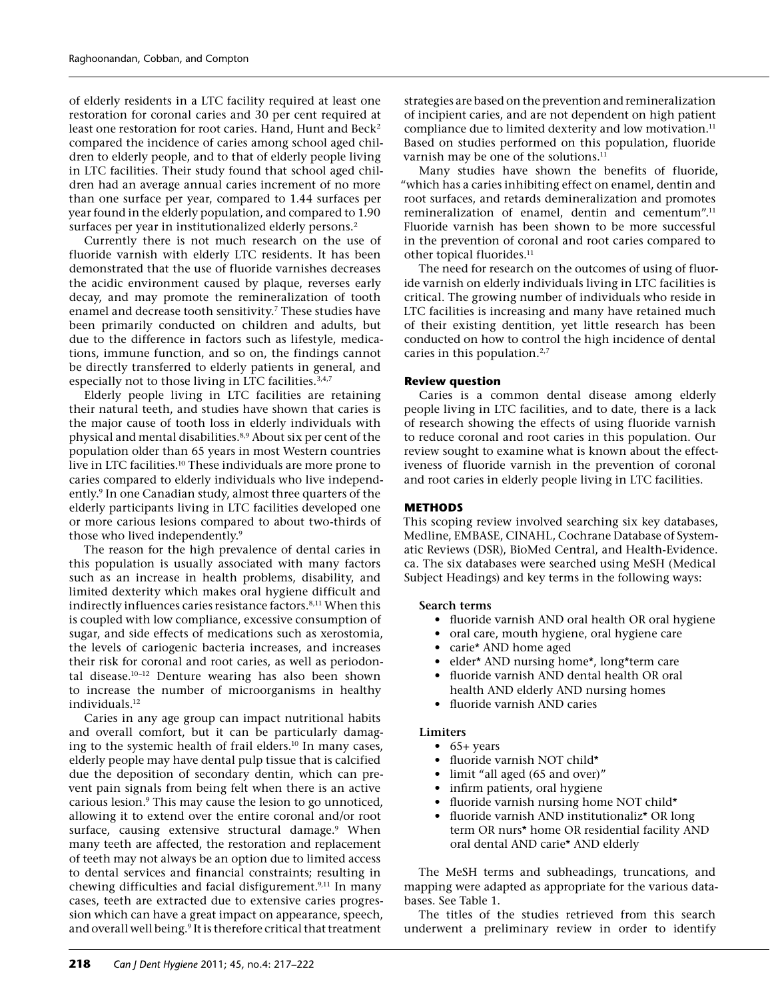of elderly residents in a LTC facility required at least one restoration for coronal caries and 30 per cent required at least one restoration for root caries. Hand, Hunt and Beck<sup>2</sup> compared the incidence of caries among school aged children to elderly people, and to that of elderly people living in LTC facilities. Their study found that school aged children had an average annual caries increment of no more than one surface per year, compared to 1.44 surfaces per year found in the elderly population, and compared to 1.90 surfaces per year in institutionalized elderly persons.<sup>2</sup>

Currently there is not much research on the use of fluoride varnish with elderly LTC residents. It has been demonstrated that the use of fluoride varnishes decreases the acidic environment caused by plaque, reverses early decay, and may promote the remineralization of tooth enamel and decrease tooth sensitivity.<sup>7</sup> These studies have been primarily conducted on children and adults, but due to the difference in factors such as lifestyle, medications, immune function, and so on, the findings cannot be directly transferred to elderly patients in general, and especially not to those living in LTC facilities.<sup>3,4,7</sup>

Elderly people living in LTC facilities are retaining their natural teeth, and studies have shown that caries is the major cause of tooth loss in elderly individuals with physical and mental disabilities.<sup>8,9</sup> About six per cent of the population older than 65 years in most Western countries live in LTC facilities.<sup>10</sup> These individuals are more prone to caries compared to elderly individuals who live independently.<sup>9</sup> In one Canadian study, almost three quarters of the elderly participants living in LTC facilities developed one or more carious lesions compared to about two-thirds of those who lived independently.9

The reason for the high prevalence of dental caries in this population is usually associated with many factors such as an increase in health problems, disability, and limited dexterity which makes oral hygiene difficult and indirectly influences caries resistance factors.<sup>8,11</sup> When this is coupled with low compliance, excessive consumption of sugar, and side effects of medications such as xerostomia, the levels of cariogenic bacteria increases, and increases their risk for coronal and root caries, as well as periodontal disease.10–12 Denture wearing has also been shown to increase the number of microorganisms in healthy individuals.<sup>12</sup>

Caries in any age group can impact nutritional habits and overall comfort, but it can be particularly damaging to the systemic health of frail elders.<sup>10</sup> In many cases, elderly people may have dental pulp tissue that is calcified due the deposition of secondary dentin, which can prevent pain signals from being felt when there is an active carious lesion.9 This may cause the lesion to go unnoticed, allowing it to extend over the entire coronal and/or root surface, causing extensive structural damage.<sup>9</sup> When many teeth are affected, the restoration and replacement of teeth may not always be an option due to limited access to dental services and financial constraints; resulting in chewing difficulties and facial disfigurement.<sup>9,11</sup> In many cases, teeth are extracted due to extensive caries progression which can have a great impact on appearance, speech, and overall well being.<sup>9</sup> It is therefore critical that treatment

strategies are based on the prevention and remineralization of incipient caries, and are not dependent on high patient compliance due to limited dexterity and low motivation.<sup>11</sup> Based on studies performed on this population, fluoride varnish may be one of the solutions.<sup>11</sup>

Many studies have shown the benefits of fluoride, "which has a caries inhibiting effect on enamel, dentin and root surfaces, and retards demineralization and promotes remineralization of enamel, dentin and cementum".11 Fluoride varnish has been shown to be more successful in the prevention of coronal and root caries compared to other topical fluorides.<sup>11</sup>

The need for research on the outcomes of using of fluoride varnish on elderly individuals living in LTC facilities is critical. The growing number of individuals who reside in LTC facilities is increasing and many have retained much of their existing dentition, yet little research has been conducted on how to control the high incidence of dental caries in this population.<sup>2,7</sup>

## **Review question**

Caries is a common dental disease among elderly people living in LTC facilities, and to date, there is a lack of research showing the effects of using fluoride varnish to reduce coronal and root caries in this population. Our review sought to examine what is known about the effectiveness of fluoride varnish in the prevention of coronal and root caries in elderly people living in LTC facilities.

# **METHODS**

This scoping review involved searching six key databases, Medline, EMBASE, CINAHL, Cochrane Database of Systematic Reviews (DSR), BioMed Central, and Health-Evidence. ca. The six databases were searched using MeSH (Medical Subject Headings) and key terms in the following ways:

#### **Search terms**

- fluoride varnish AND oral health OR oral hygiene
- oral care, mouth hygiene, oral hygiene care
- carie\* AND home aged
- elder<sup>\*</sup> AND nursing home<sup>\*</sup>, long<sup>\*</sup>term care
- fluoride varnish AND dental health OR oral health AND elderly AND nursing homes
- fluoride varnish AND caries

# **Limiters**

- $65+ years$
- fluoride varnish NOT child\*
- limit "all aged (65 and over)"
- infirm patients, oral hygiene
- fluoride varnish nursing home NOT child\*
- fluoride varnish AND institutionaliz<sup>\*</sup> OR long term OR nurs\* home OR residential facility AND oral dental AND carie\* AND elderly

The MeSH terms and subheadings, truncations, and mapping were adapted as appropriate for the various databases. See Table 1.

The titles of the studies retrieved from this search underwent a preliminary review in order to identify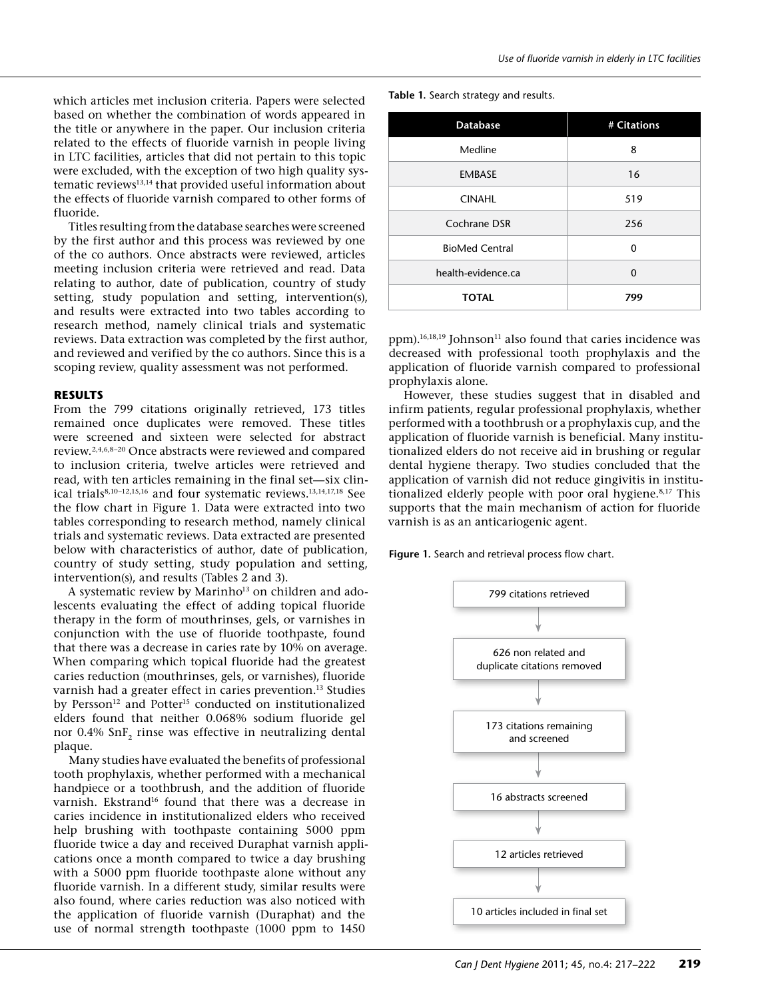which articles met inclusion criteria. Papers were selected based on whether the combination of words appeared in the title or anywhere in the paper. Our inclusion criteria related to the effects of fluoride varnish in people living in LTC facilities, articles that did not pertain to this topic were excluded, with the exception of two high quality systematic reviews13,14 that provided useful information about the effects of fluoride varnish compared to other forms of fluoride.

Titles resulting from the database searches were screened by the first author and this process was reviewed by one of the co authors. Once abstracts were reviewed, articles meeting inclusion criteria were retrieved and read. Data relating to author, date of publication, country of study setting, study population and setting, intervention(s), and results were extracted into two tables according to research method, namely clinical trials and systematic reviews. Data extraction was completed by the first author, and reviewed and verified by the co authors. Since this is a scoping review, quality assessment was not performed.

#### **RESULTS**

From the 799 citations originally retrieved, 173 titles remained once duplicates were removed. These titles were screened and sixteen were selected for abstract review.2,4,6,8–20 Once abstracts were reviewed and compared to inclusion criteria, twelve articles were retrieved and read, with ten articles remaining in the final set—six clinical trials<sup>8,10-12,15,16</sup> and four systematic reviews.<sup>13,14,17,18</sup> See the flow chart in Figure 1. Data were extracted into two tables corresponding to research method, namely clinical trials and systematic reviews. Data extracted are presented below with characteristics of author, date of publication, country of study setting, study population and setting, intervention(s), and results (Tables 2 and 3).

A systematic review by Marinho<sup>13</sup> on children and adolescents evaluating the effect of adding topical fluoride therapy in the form of mouthrinses, gels, or varnishes in conjunction with the use of fluoride toothpaste, found that there was a decrease in caries rate by 10% on average. When comparing which topical fluoride had the greatest caries reduction (mouthrinses, gels, or varnishes), fluoride varnish had a greater effect in caries prevention.<sup>13</sup> Studies by Persson<sup>12</sup> and Potter<sup>15</sup> conducted on institutionalized elders found that neither 0.068% sodium fluoride gel nor 0.4% SnF<sub>2</sub> rinse was effective in neutralizing dental plaque.

Many studies have evaluated the benefits of professional tooth prophylaxis, whether performed with a mechanical handpiece or a toothbrush, and the addition of fluoride varnish. Ekstrand<sup>16</sup> found that there was a decrease in caries incidence in institutionalized elders who received help brushing with toothpaste containing 5000 ppm fluoride twice a day and received Duraphat varnish applications once a month compared to twice a day brushing with a 5000 ppm fluoride toothpaste alone without any fluoride varnish. In a different study, similar results were also found, where caries reduction was also noticed with the application of fluoride varnish (Duraphat) and the use of normal strength toothpaste (1000 ppm to 1450

**Table 1.** Search strategy and results.

| <b>Database</b>       | # Citations |
|-----------------------|-------------|
| Medline               | 8           |
| <b>EMBASE</b>         | 16          |
| <b>CINAHL</b>         | 519         |
| Cochrane DSR          | 256         |
| <b>BioMed Central</b> | $\Omega$    |
| health-evidence.ca    | $\Omega$    |
| <b>TOTAL</b>          | 799         |
|                       |             |

ppm).<sup>16,18,19</sup> Johnson<sup>11</sup> also found that caries incidence was decreased with professional tooth prophylaxis and the application of fluoride varnish compared to professional prophylaxis alone.

However, these studies suggest that in disabled and infirm patients, regular professional prophylaxis, whether performed with a toothbrush or a prophylaxis cup, and the application of fluoride varnish is beneficial. Many institutionalized elders do not receive aid in brushing or regular dental hygiene therapy. Two studies concluded that the application of varnish did not reduce gingivitis in institutionalized elderly people with poor oral hygiene.<sup>8,17</sup> This supports that the main mechanism of action for fluoride varnish is as an anticariogenic agent.

**Figure 1.** Search and retrieval process flow chart.

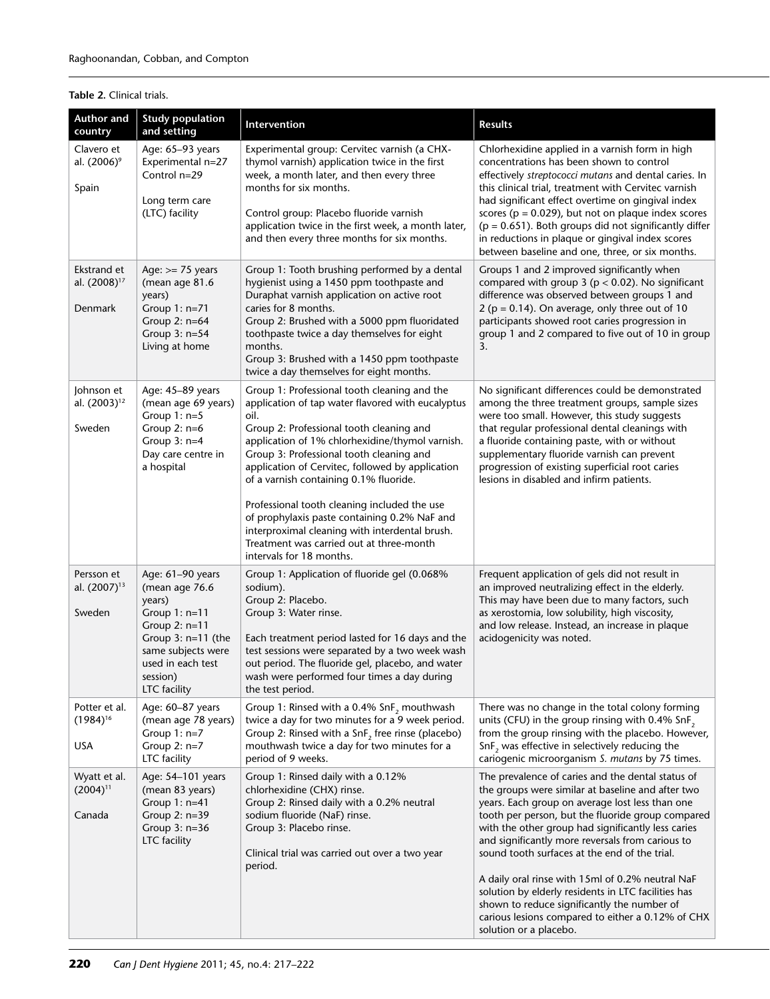# **Table 2.** Clinical trials.

| <b>Author and</b><br>country                       | <b>Study population</b><br>and setting                                                                                                                                            | Intervention                                                                                                                                                                                                                                                                                                                                                                                                                                                                                                                                                                 | <b>Results</b>                                                                                                                                                                                                                                                                                                                                                                                                                                                                                                                                                                                                     |
|----------------------------------------------------|-----------------------------------------------------------------------------------------------------------------------------------------------------------------------------------|------------------------------------------------------------------------------------------------------------------------------------------------------------------------------------------------------------------------------------------------------------------------------------------------------------------------------------------------------------------------------------------------------------------------------------------------------------------------------------------------------------------------------------------------------------------------------|--------------------------------------------------------------------------------------------------------------------------------------------------------------------------------------------------------------------------------------------------------------------------------------------------------------------------------------------------------------------------------------------------------------------------------------------------------------------------------------------------------------------------------------------------------------------------------------------------------------------|
| Clavero et<br>al. (2006) <sup>9</sup><br>Spain     | Age: 65-93 years<br>Experimental n=27<br>Control n=29<br>Long term care<br>(LTC) facility                                                                                         | Experimental group: Cervitec varnish (a CHX-<br>thymol varnish) application twice in the first<br>week, a month later, and then every three<br>months for six months.<br>Control group: Placebo fluoride varnish<br>application twice in the first week, a month later,<br>and then every three months for six months.                                                                                                                                                                                                                                                       | Chlorhexidine applied in a varnish form in high<br>concentrations has been shown to control<br>effectively streptococci mutans and dental caries. In<br>this clinical trial, treatment with Cervitec varnish<br>had significant effect overtime on gingival index<br>scores ( $p = 0.029$ ), but not on plaque index scores<br>$(p = 0.651)$ . Both groups did not significantly differ<br>in reductions in plaque or gingival index scores<br>between baseline and one, three, or six months.                                                                                                                     |
| Ekstrand et<br>al. (2008) <sup>17</sup><br>Denmark | Age: $>= 75$ years<br>(mean age 81.6<br>years)<br>Group $1: n=71$<br>Group 2: n=64<br>Group 3: n=54<br>Living at home                                                             | Group 1: Tooth brushing performed by a dental<br>hygienist using a 1450 ppm toothpaste and<br>Duraphat varnish application on active root<br>caries for 8 months.<br>Group 2: Brushed with a 5000 ppm fluoridated<br>toothpaste twice a day themselves for eight<br>months.<br>Group 3: Brushed with a 1450 ppm toothpaste<br>twice a day themselves for eight months.                                                                                                                                                                                                       | Groups 1 and 2 improved significantly when<br>compared with group $3$ ( $p < 0.02$ ). No significant<br>difference was observed between groups 1 and<br>2 ( $p = 0.14$ ). On average, only three out of 10<br>participants showed root caries progression in<br>group 1 and 2 compared to five out of 10 in group<br>3.                                                                                                                                                                                                                                                                                            |
| Johnson et<br>al. (2003) <sup>12</sup><br>Sweden   | Age: 45-89 years<br>(mean age 69 years)<br>Group $1: n=5$<br>Group $2: n=6$<br>Group $3: n=4$<br>Day care centre in<br>a hospital                                                 | Group 1: Professional tooth cleaning and the<br>application of tap water flavored with eucalyptus<br>oil.<br>Group 2: Professional tooth cleaning and<br>application of 1% chlorhexidine/thymol varnish.<br>Group 3: Professional tooth cleaning and<br>application of Cervitec, followed by application<br>of a varnish containing 0.1% fluoride.<br>Professional tooth cleaning included the use<br>of prophylaxis paste containing 0.2% NaF and<br>interproximal cleaning with interdental brush.<br>Treatment was carried out at three-month<br>intervals for 18 months. | No significant differences could be demonstrated<br>among the three treatment groups, sample sizes<br>were too small. However, this study suggests<br>that regular professional dental cleanings with<br>a fluoride containing paste, with or without<br>supplementary fluoride varnish can prevent<br>progression of existing superficial root caries<br>lesions in disabled and infirm patients.                                                                                                                                                                                                                 |
| Persson et<br>al. (2007) <sup>13</sup><br>Sweden   | Age: 61-90 years<br>(mean age 76.6<br>years)<br>Group $1: n=11$<br>Group $2: n=11$<br>Group $3: n=11$ (the<br>same subjects were<br>used in each test<br>session)<br>LTC facility | Group 1: Application of fluoride gel (0.068%<br>sodium).<br>Group 2: Placebo.<br>Group 3: Water rinse.<br>Each treatment period lasted for 16 days and the<br>test sessions were separated by a two week wash<br>out period. The fluoride gel, placebo, and water<br>wash were performed four times a day during<br>the test period.                                                                                                                                                                                                                                         | Frequent application of gels did not result in<br>an improved neutralizing effect in the elderly.<br>This may have been due to many factors, such<br>as xerostomia, low solubility, high viscosity,<br>and low release. Instead, an increase in plaque<br>acidogenicity was noted.                                                                                                                                                                                                                                                                                                                                 |
| Potter et al.<br>$(1984)^{16}$<br>USA              | Age: 60–87 years<br>(mean age 78 years)<br>Group $1: n=7$<br>Group $2: n=7$<br>LTC facility                                                                                       | Group 1: Rinsed with a 0.4% SnF, mouthwash<br>twice a day for two minutes for a 9 week period.<br>Group 2: Rinsed with a $\text{SnF}_2$ free rinse (placebo)<br>mouthwash twice a day for two minutes for a<br>period of 9 weeks.                                                                                                                                                                                                                                                                                                                                            | There was no change in the total colony forming<br>units (CFU) in the group rinsing with 0.4% SnF,<br>from the group rinsing with the placebo. However,<br>$SnF2$ was effective in selectively reducing the<br>cariogenic microorganism S. mutans by 75 times.                                                                                                                                                                                                                                                                                                                                                     |
| Wyatt et al.<br>$(2004)^{11}$<br>Canada            | Age: 54-101 years<br>(mean 83 years)<br>Group 1: n=41<br>Group $2: n=39$<br>Group $3: n=36$<br>LTC facility                                                                       | Group 1: Rinsed daily with a 0.12%<br>chlorhexidine (CHX) rinse.<br>Group 2: Rinsed daily with a 0.2% neutral<br>sodium fluoride (NaF) rinse.<br>Group 3: Placebo rinse.<br>Clinical trial was carried out over a two year<br>period.                                                                                                                                                                                                                                                                                                                                        | The prevalence of caries and the dental status of<br>the groups were similar at baseline and after two<br>years. Each group on average lost less than one<br>tooth per person, but the fluoride group compared<br>with the other group had significantly less caries<br>and significantly more reversals from carious to<br>sound tooth surfaces at the end of the trial.<br>A daily oral rinse with 15ml of 0.2% neutral NaF<br>solution by elderly residents in LTC facilities has<br>shown to reduce significantly the number of<br>carious lesions compared to either a 0.12% of CHX<br>solution or a placebo. |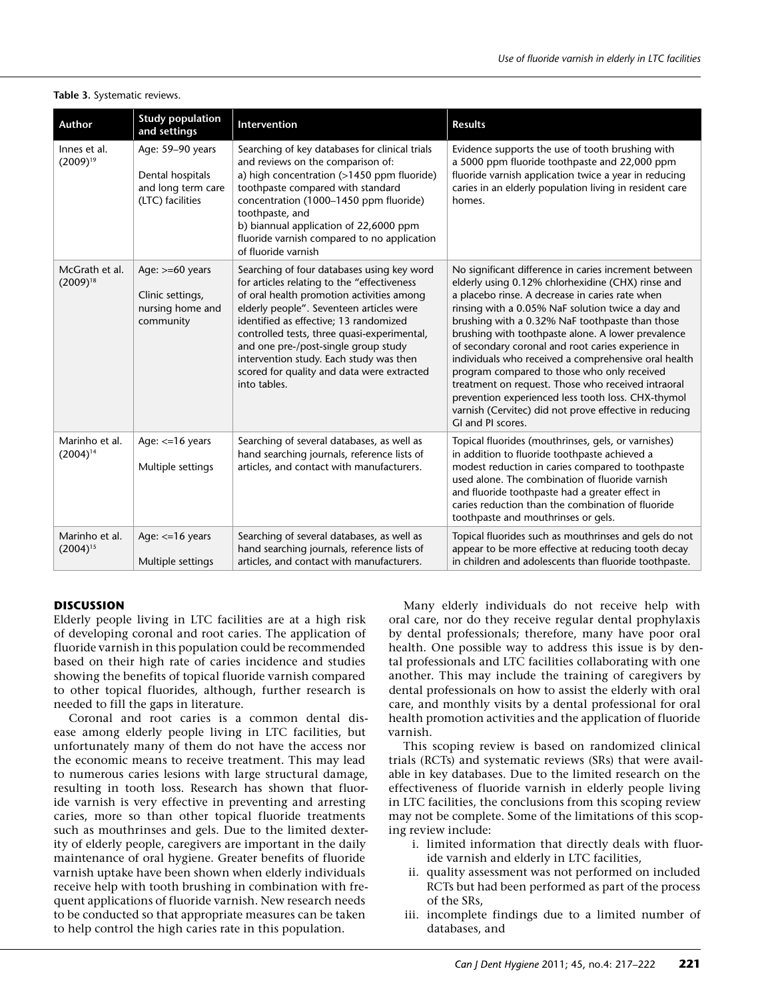| Author                          | <b>Study population</b><br>and settings                                        | <b>Intervention</b>                                                                                                                                                                                                                                                                                                                                                                                                           | <b>Results</b>                                                                                                                                                                                                                                                                                                                                                                                                                                                                                                                                                                                                                                                                      |
|---------------------------------|--------------------------------------------------------------------------------|-------------------------------------------------------------------------------------------------------------------------------------------------------------------------------------------------------------------------------------------------------------------------------------------------------------------------------------------------------------------------------------------------------------------------------|-------------------------------------------------------------------------------------------------------------------------------------------------------------------------------------------------------------------------------------------------------------------------------------------------------------------------------------------------------------------------------------------------------------------------------------------------------------------------------------------------------------------------------------------------------------------------------------------------------------------------------------------------------------------------------------|
| Innes et al.<br>$(2009)^{19}$   | Age: 59-90 years<br>Dental hospitals<br>and long term care<br>(LTC) facilities | Searching of key databases for clinical trials<br>and reviews on the comparison of:<br>a) high concentration (>1450 ppm fluoride)<br>toothpaste compared with standard<br>concentration (1000-1450 ppm fluoride)<br>toothpaste, and<br>b) biannual application of 22,6000 ppm<br>fluoride varnish compared to no application<br>of fluoride varnish                                                                           | Evidence supports the use of tooth brushing with<br>a 5000 ppm fluoride toothpaste and 22,000 ppm<br>fluoride varnish application twice a year in reducing<br>caries in an elderly population living in resident care<br>homes.                                                                                                                                                                                                                                                                                                                                                                                                                                                     |
| McGrath et al.<br>$(2009)^{18}$ | Age: $>= 60$ years<br>Clinic settings,<br>nursing home and<br>community        | Searching of four databases using key word<br>for articles relating to the "effectiveness"<br>of oral health promotion activities among<br>elderly people". Seventeen articles were<br>identified as effective; 13 randomized<br>controlled tests, three quasi-experimental,<br>and one pre-/post-single group study<br>intervention study. Each study was then<br>scored for quality and data were extracted<br>into tables. | No significant difference in caries increment between<br>elderly using 0.12% chlorhexidine (CHX) rinse and<br>a placebo rinse. A decrease in caries rate when<br>rinsing with a 0.05% NaF solution twice a day and<br>brushing with a 0.32% NaF toothpaste than those<br>brushing with toothpaste alone. A lower prevalence<br>of secondary coronal and root caries experience in<br>individuals who received a comprehensive oral health<br>program compared to those who only received<br>treatment on request. Those who received intraoral<br>prevention experienced less tooth loss. CHX-thymol<br>varnish (Cervitec) did not prove effective in reducing<br>GI and PI scores. |
| Marinho et al.<br>$(2004)^{14}$ | Age: $<=16$ years<br>Multiple settings                                         | Searching of several databases, as well as<br>hand searching journals, reference lists of<br>articles, and contact with manufacturers.                                                                                                                                                                                                                                                                                        | Topical fluorides (mouthrinses, gels, or varnishes)<br>in addition to fluoride toothpaste achieved a<br>modest reduction in caries compared to toothpaste<br>used alone. The combination of fluoride varnish<br>and fluoride toothpaste had a greater effect in<br>caries reduction than the combination of fluoride<br>toothpaste and mouthrinses or gels.                                                                                                                                                                                                                                                                                                                         |
| Marinho et al.<br>$(2004)^{15}$ | Age: $<=16$ years<br>Multiple settings                                         | Searching of several databases, as well as<br>hand searching journals, reference lists of<br>articles, and contact with manufacturers.                                                                                                                                                                                                                                                                                        | Topical fluorides such as mouthrinses and gels do not<br>appear to be more effective at reducing tooth decay<br>in children and adolescents than fluoride toothpaste.                                                                                                                                                                                                                                                                                                                                                                                                                                                                                                               |

## **Table 3.** Systematic reviews.

# **DISCUSSION**

Elderly people living in LTC facilities are at a high risk of developing coronal and root caries. The application of fluoride varnish in this population could be recommended based on their high rate of caries incidence and studies showing the benefits of topical fluoride varnish compared to other topical fluorides, although, further research is needed to fill the gaps in literature.

Coronal and root caries is a common dental disease among elderly people living in LTC facilities, but unfortunately many of them do not have the access nor the economic means to receive treatment. This may lead to numerous caries lesions with large structural damage, resulting in tooth loss. Research has shown that fluoride varnish is very effective in preventing and arresting caries, more so than other topical fluoride treatments such as mouthrinses and gels. Due to the limited dexterity of elderly people, caregivers are important in the daily maintenance of oral hygiene. Greater benefits of fluoride varnish uptake have been shown when elderly individuals receive help with tooth brushing in combination with frequent applications of fluoride varnish. New research needs to be conducted so that appropriate measures can be taken to help control the high caries rate in this population.

Many elderly individuals do not receive help with oral care, nor do they receive regular dental prophylaxis by dental professionals; therefore, many have poor oral health. One possible way to address this issue is by dental professionals and LTC facilities collaborating with one another. This may include the training of caregivers by dental professionals on how to assist the elderly with oral care, and monthly visits by a dental professional for oral health promotion activities and the application of fluoride varnish.

This scoping review is based on randomized clinical trials (RCTs) and systematic reviews (SRs) that were available in key databases. Due to the limited research on the effectiveness of fluoride varnish in elderly people living in LTC facilities, the conclusions from this scoping review may not be complete. Some of the limitations of this scoping review include:

- i. limited information that directly deals with fluoride varnish and elderly in LTC facilities,
- ii. quality assessment was not performed on included RCTs but had been performed as part of the process of the SRs,
- iii. incomplete findings due to a limited number of databases, and